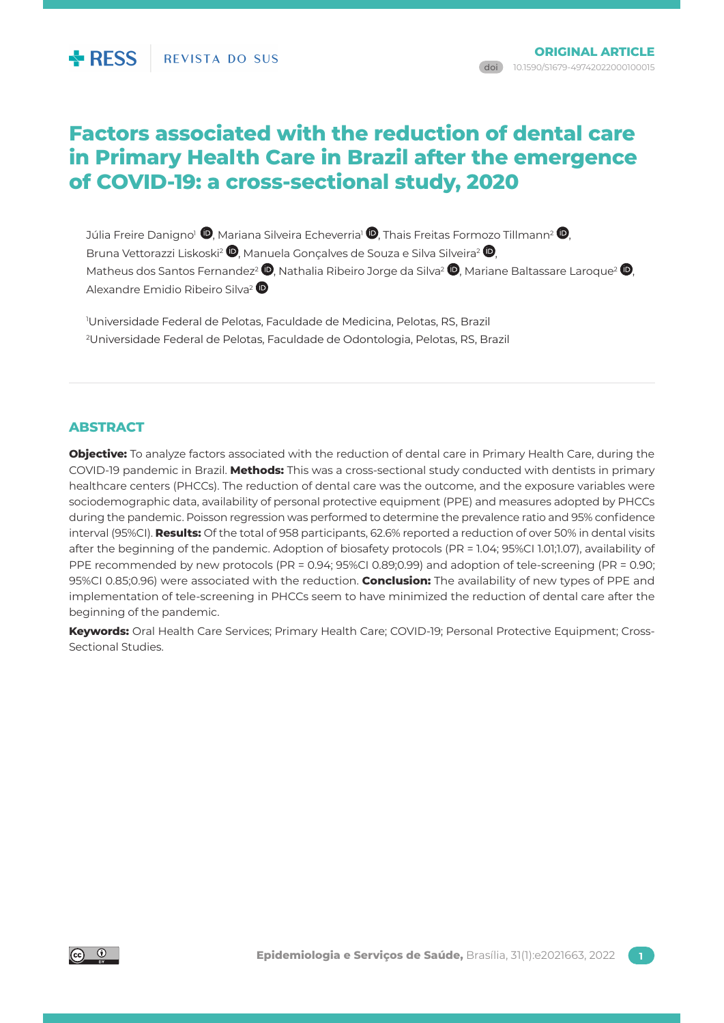# **Factors associated with the reduction of dental care in Primary Health Care in Brazil after the emergence of COVID-19: a cross-sectional study, 2020**

Júlia Freire Danigno<sup>1</sup> <sup>(1</sup>)[,](http://orcid.org/0000-0002-2386-0826) Mariana Silveira Echeverria<sup>1</sup> (1), Thais Freitas Formozo Tillmann<sup>2</sup> (1), Bruna Vettorazzi Liskoski<sup>2</sup>  $\mathbf D$ . Manuela Goncalves de Souza e Silva Silveira<sup>2</sup>  $\mathbf D$ . Matheus dos Santos Fernandez<sup>2</sup> **.** Mathalia Ribeiro Jorge da Silva<sup>2</sup> **.** Mariane Baltassare Laroque<sup>2</sup> **.** Alexandre Emidio Ribeiro Silva[2](http://orcid.org/0000-0001-6402-0789)

1 Universidade Federal de Pelotas, Faculdade de Medicina, Pelotas, RS, Brazil 2 Universidade Federal de Pelotas, Faculdade de Odontologia, Pelotas, RS, Brazil

# **ABSTRACT**

**Objective:** To analyze factors associated with the reduction of dental care in Primary Health Care, during the COVID-19 pandemic in Brazil. **Methods:** This was a cross-sectional study conducted with dentists in primary healthcare centers (PHCCs). The reduction of dental care was the outcome, and the exposure variables were sociodemographic data, availability of personal protective equipment (PPE) and measures adopted by PHCCs during the pandemic. Poisson regression was performed to determine the prevalence ratio and 95% confidence interval (95%CI). **Results:** Of the total of 958 participants, 62.6% reported a reduction of over 50% in dental visits after the beginning of the pandemic. Adoption of biosafety protocols (PR = 1.04; 95%CI 1.01;1.07), availability of PPE recommended by new protocols (PR = 0.94; 95%CI 0.89;0.99) and adoption of tele-screening (PR = 0.90; 95%CI 0.85;0.96) were associated with the reduction. **Conclusion:** The availability of new types of PPE and implementation of tele-screening in PHCCs seem to have minimized the reduction of dental care after the beginning of the pandemic.

**Keywords:** Oral Health Care Services; Primary Health Care; COVID-19; Personal Protective Equipment; Cross-Sectional Studies.

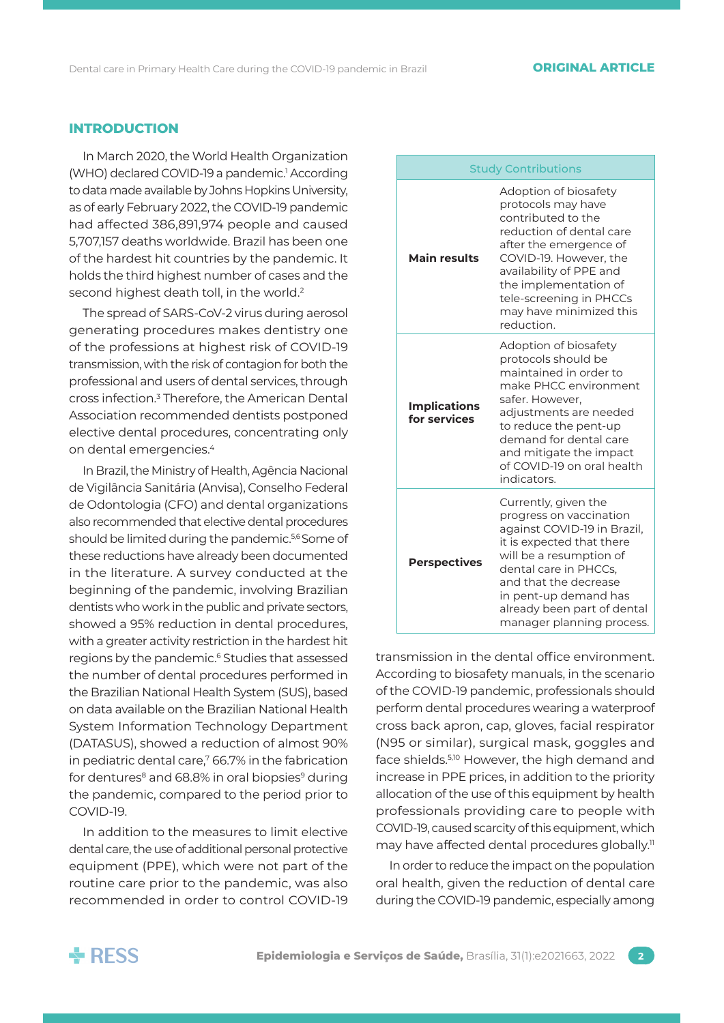# **INTRODUCTION**

In March 2020, the World Health Organization (WHO) declared COVID-19 a pandemic.<sup>1</sup> According to data made available by Johns Hopkins University, as of early February 2022, the COVID-19 pandemic had affected 386,891,974 people and caused 5,707,157 deaths worldwide. Brazil has been one of the hardest hit countries by the pandemic. It holds the third highest number of cases and the second highest death toll, in the world.<sup>2</sup>

The spread of SARS-CoV-2 virus during aerosol generating procedures makes dentistry one of the professions at highest risk of COVID-19 transmission, with the risk of contagion for both the professional and users of dental services, through cross infection.<sup>3</sup> Therefore, the American Dental Association recommended dentists postponed elective dental procedures, concentrating only on dental emergencies.4

In Brazil, the Ministry of Health, Agência Nacional de Vigilância Sanitária (Anvisa), Conselho Federal de Odontologia (CFO) and dental organizations also recommended that elective dental procedures should be limited during the pandemic.<sup>5,6</sup> Some of these reductions have already been documented in the literature. A survey conducted at the beginning of the pandemic, involving Brazilian dentists who work in the public and private sectors, showed a 95% reduction in dental procedures, with a greater activity restriction in the hardest hit regions by the pandemic.6 Studies that assessed the number of dental procedures performed in the Brazilian National Health System (SUS), based on data available on the Brazilian National Health System Information Technology Department (DATASUS), showed a reduction of almost 90% in pediatric dental care.<sup>7</sup> 66.7% in the fabrication for dentures $8$  and 68.8% in oral biopsies $9$  during the pandemic, compared to the period prior to COVID-19.

In addition to the measures to limit elective dental care, the use of additional personal protective equipment (PPE), which were not part of the routine care prior to the pandemic, was also recommended in order to control COVID-19

| <b>Study Contributions</b>          |                                                                                                                                                                                                                                                                               |  |  |
|-------------------------------------|-------------------------------------------------------------------------------------------------------------------------------------------------------------------------------------------------------------------------------------------------------------------------------|--|--|
| <b>Main results</b>                 | Adoption of biosafety<br>protocols may have<br>contributed to the<br>reduction of dental care<br>after the emergence of<br>COVID-19. However, the<br>availability of PPE and<br>the implementation of<br>tele-screening in PHCCs<br>may have minimized this<br>reduction.     |  |  |
| <b>Implications</b><br>for services | Adoption of biosafety<br>protocols should be<br>maintained in order to<br>make PHCC environment<br>safer. However,<br>adjustments are needed<br>to reduce the pent-up<br>demand for dental care<br>and mitigate the impact<br>of COVID-19 on oral health<br>indicators.       |  |  |
| <b>Perspectives</b>                 | Currently, given the<br>progress on vaccination<br>against COVID-19 in Brazil,<br>it is expected that there<br>will be a resumption of<br>dental care in PHCCs.<br>and that the decrease<br>in pent-up demand has<br>already been part of dental<br>manager planning process. |  |  |

transmission in the dental office environment. According to biosafety manuals, in the scenario of the COVID-19 pandemic, professionals should perform dental procedures wearing a waterproof cross back apron, cap, gloves, facial respirator (N95 or similar), surgical mask, goggles and face shields.5,10 However, the high demand and increase in PPE prices, in addition to the priority allocation of the use of this equipment by health professionals providing care to people with COVID-19, caused scarcity of this equipment, which may have affected dental procedures globally.<sup>11</sup>

In order to reduce the impact on the population oral health, given the reduction of dental care during the COVID-19 pandemic, especially among

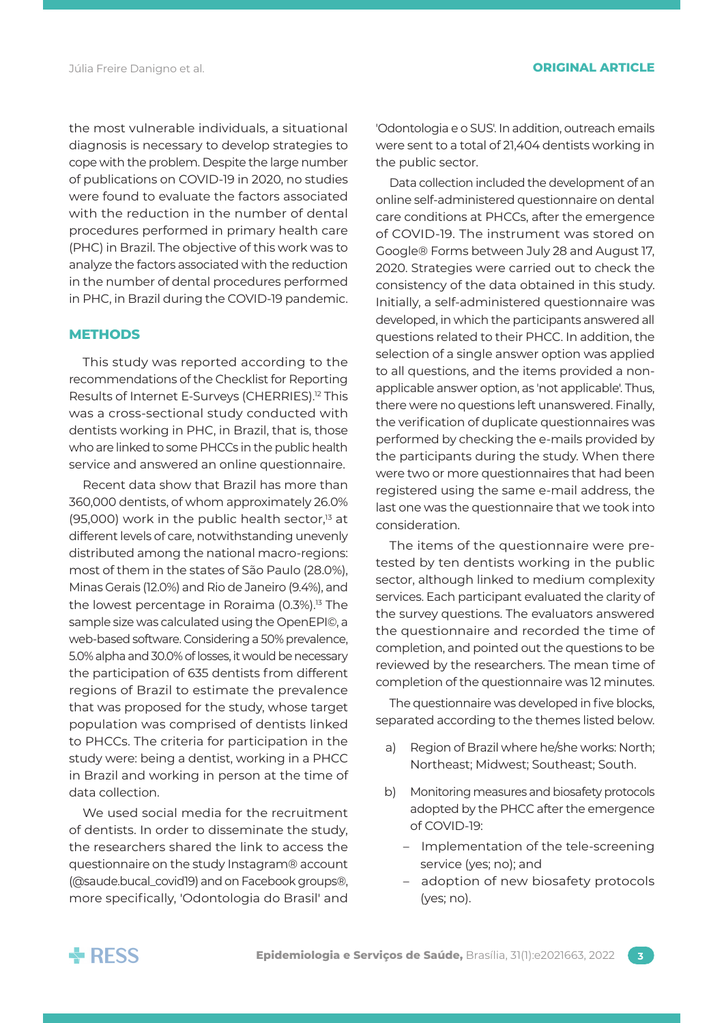the most vulnerable individuals, a situational diagnosis is necessary to develop strategies to cope with the problem. Despite the large number of publications on COVID-19 in 2020, no studies were found to evaluate the factors associated with the reduction in the number of dental procedures performed in primary health care (PHC) in Brazil. The objective of this work was to analyze the factors associated with the reduction in the number of dental procedures performed in PHC, in Brazil during the COVID-19 pandemic.

#### **METHODS**

This study was reported according to the recommendations of the Checklist for Reporting Results of Internet E-Surveys (CHERRIES).<sup>12</sup> This was a cross-sectional study conducted with dentists working in PHC, in Brazil, that is, those who are linked to some PHCCs in the public health service and answered an online questionnaire.

Recent data show that Brazil has more than 360,000 dentists, of whom approximately 26.0% (95,000) work in the public health sector, $13$  at different levels of care, notwithstanding unevenly distributed among the national macro-regions: most of them in the states of São Paulo (28.0%), Minas Gerais (12.0%) and Rio de Janeiro (9.4%), and the lowest percentage in Roraima (0.3%).<sup>13</sup> The sample size was calculated using the OpenEPI©, a web-based software. Considering a 50% prevalence, 5.0% alpha and 30.0% of losses, it would be necessary the participation of 635 dentists from different regions of Brazil to estimate the prevalence that was proposed for the study, whose target population was comprised of dentists linked to PHCCs. The criteria for participation in the study were: being a dentist, working in a PHCC in Brazil and working in person at the time of data collection.

We used social media for the recruitment of dentists. In order to disseminate the study, the researchers shared the link to access the questionnaire on the study Instagram® account (@saude.bucal\_covid19) and on Facebook groups®, more specifically, 'Odontologia do Brasil' and

'Odontologia e o SUS'. In addition, outreach emails were sent to a total of 21,404 dentists working in the public sector.

Data collection included the development of an online self-administered questionnaire on dental care conditions at PHCCs, after the emergence of COVID-19. The instrument was stored on Google® Forms between July 28 and August 17, 2020. Strategies were carried out to check the consistency of the data obtained in this study. Initially, a self-administered questionnaire was developed, in which the participants answered all questions related to their PHCC. In addition, the selection of a single answer option was applied to all questions, and the items provided a nonapplicable answer option, as 'not applicable'. Thus, there were no questions left unanswered. Finally, the verification of duplicate questionnaires was performed by checking the e-mails provided by the participants during the study. When there were two or more questionnaires that had been registered using the same e-mail address, the last one was the questionnaire that we took into consideration.

The items of the questionnaire were pretested by ten dentists working in the public sector, although linked to medium complexity services. Each participant evaluated the clarity of the survey questions. The evaluators answered the questionnaire and recorded the time of completion, and pointed out the questions to be reviewed by the researchers. The mean time of completion of the questionnaire was 12 minutes.

The questionnaire was developed in five blocks, separated according to the themes listed below.

- a) Region of Brazil where he/she works: North; Northeast; Midwest; Southeast; South.
- b) Monitoring measures and biosafety protocols adopted by the PHCC after the emergence of COVID-19:
	- Implementation of the tele-screening service (yes; no); and
	- adoption of new biosafety protocols (yes; no).

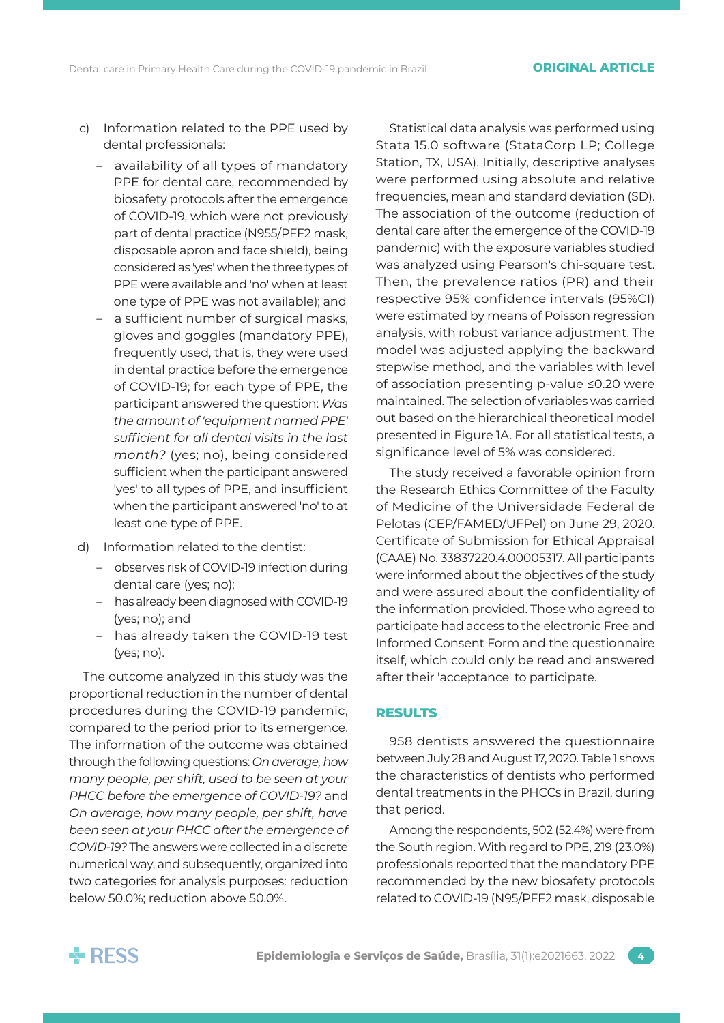- c) Information related to the PPE used by dental professionals:
	- availability of all types of mandatory PPE for dental care, recommended by biosafety protocols after the emergence of COVID-19, which were not previously part of dental practice (N955/PFF2 mask, disposable apron and face shield), being considered as 'yes' when the three types of PPE were available and 'no' when at least one type of PPE was not available); and
	- a sufficient number of surgical masks, gloves and goggles (mandatory PPE), frequently used, that is, they were used in dental practice before the emergence of COVID-19; for each type of PPE, the participant answered the question: *Was the amount of 'equipment named PPE' sufficient for all dental visits in the last month?* (yes; no), being considered sufficient when the participant answered 'yes' to all types of PPE, and insufficient when the participant answered 'no' to at least one type of PPE.
- d) Information related to the dentist:
	- observes risk of COVID-19 infection during dental care (yes; no);
	- has already been diagnosed with COVID-19 (yes; no); and
	- has already taken the COVID-19 test (yes; no).

The outcome analyzed in this study was the proportional reduction in the number of dental procedures during the COVID-19 pandemic, compared to the period prior to its emergence. The information of the outcome was obtained through the following questions: *On average, how many people, per shift, used to be seen at your PHCC before the emergence of COVID-19?* and *On average, how many people, per shift, have been seen at your PHCC after the emergence of COVID-19?* The answers were collected in a discrete numerical way, and subsequently, organized into two categories for analysis purposes: reduction below 50.0%; reduction above 50.0%.

Statistical data analysis was performed using Stata 15.0 software (StataCorp LP; College Station, TX, USA). Initially, descriptive analyses were performed using absolute and relative frequencies, mean and standard deviation (SD). The association of the outcome (reduction of dental care after the emergence of the COVID-19 pandemic) with the exposure variables studied was analyzed using Pearson's chi-square test. Then, the prevalence ratios (PR) and their respective 95% confidence intervals (95%CI) were estimated by means of Poisson regression analysis, with robust variance adjustment. The model was adjusted applying the backward stepwise method, and the variables with level of association presenting p-value ≤0.20 were maintained. The selection of variables was carried out based on the hierarchical theoretical model presented in Figure 1A. For all statistical tests, a significance level of 5% was considered.

The study received a favorable opinion from the Research Ethics Committee of the Faculty of Medicine of the Universidade Federal de Pelotas (CEP/FAMED/UFPel) on June 29, 2020. Certificate of Submission for Ethical Appraisal (CAAE) No. 33837220.4.00005317. All participants were informed about the objectives of the study and were assured about the confidentiality of the information provided. Those who agreed to participate had access to the electronic Free and Informed Consent Form and the questionnaire itself, which could only be read and answered after their 'acceptance' to participate.

# **RESULTS**

958 dentists answered the questionnaire between July 28 and August 17, 2020. Table 1 shows the characteristics of dentists who performed dental treatments in the PHCCs in Brazil, during that period.

Among the respondents, 502 (52.4%) were from the South region. With regard to PPE, 219 (23.0%) professionals reported that the mandatory PPE recommended by the new biosafety protocols related to COVID-19 (N95/PFF2 mask, disposable

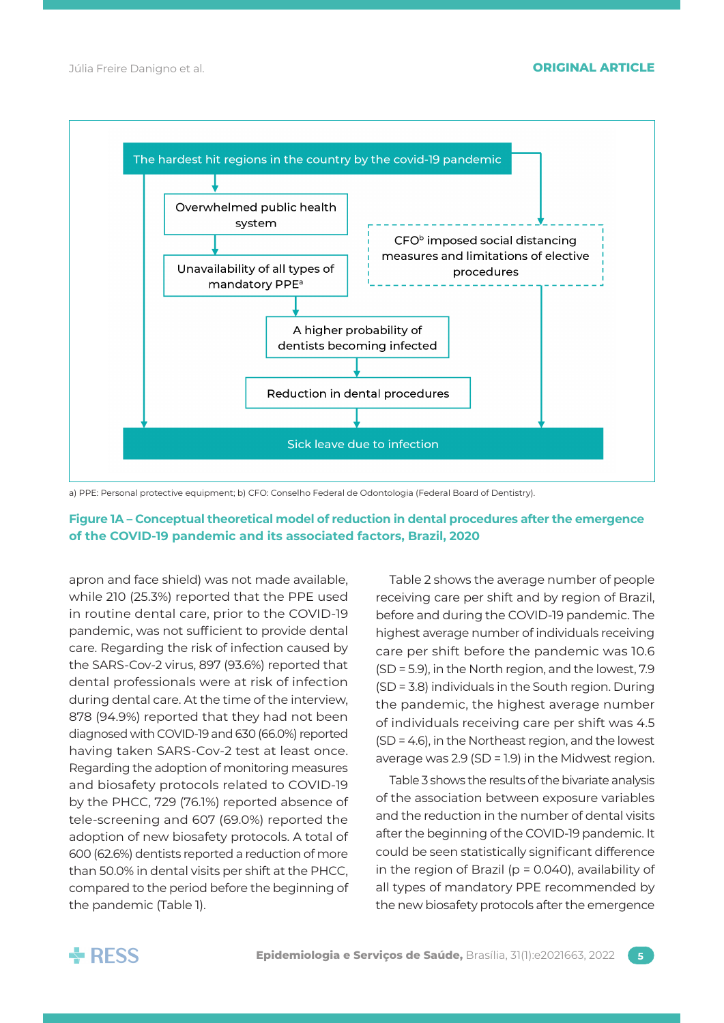

a) PPE: Personal protective equipment; b) CFO: Conselho Federal de Odontologia (Federal Board of Dentistry).

# **Figure 1A – Conceptual theoretical model of reduction in dental procedures after the emergence of the COVID-19 pandemic and its associated factors, Brazil, 2020**

apron and face shield) was not made available, while 210 (25.3%) reported that the PPE used in routine dental care, prior to the COVID-19 pandemic, was not sufficient to provide dental care. Regarding the risk of infection caused by the SARS-Cov-2 virus, 897 (93.6%) reported that dental professionals were at risk of infection during dental care. At the time of the interview, 878 (94.9%) reported that they had not been diagnosed with COVID-19 and 630 (66.0%) reported having taken SARS-Cov-2 test at least once. Regarding the adoption of monitoring measures and biosafety protocols related to COVID-19 by the PHCC, 729 (76.1%) reported absence of tele-screening and 607 (69.0%) reported the adoption of new biosafety protocols. A total of 600 (62.6%) dentists reported a reduction of more than 50.0% in dental visits per shift at the PHCC, compared to the period before the beginning of the pandemic (Table 1).

Table 2 shows the average number of people receiving care per shift and by region of Brazil, before and during the COVID-19 pandemic. The highest average number of individuals receiving care per shift before the pandemic was 10.6 (SD = 5.9), in the North region, and the lowest, 7.9 (SD = 3.8) individuals in the South region. During the pandemic, the highest average number of individuals receiving care per shift was 4.5 (SD = 4.6), in the Northeast region, and the lowest average was 2.9 (SD = 1.9) in the Midwest region.

Table 3 shows the results of the bivariate analysis of the association between exposure variables and the reduction in the number of dental visits after the beginning of the COVID-19 pandemic. It could be seen statistically significant difference in the region of Brazil ( $p = 0.040$ ), availability of all types of mandatory PPE recommended by the new biosafety protocols after the emergence

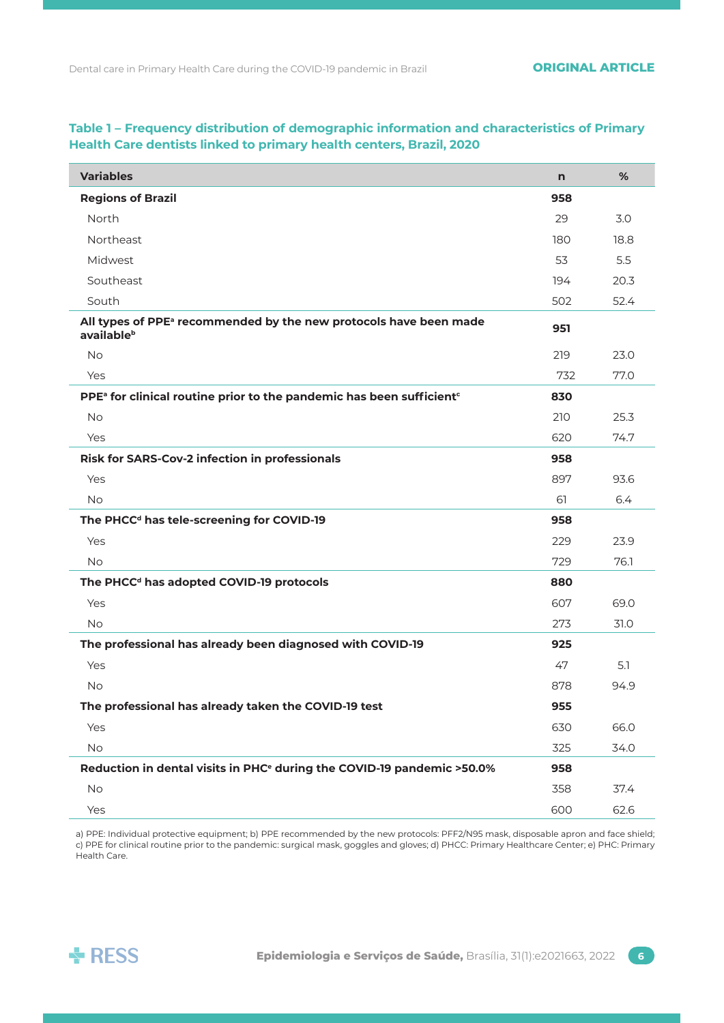| <b>Variables</b>                                                                             | n   | %    |
|----------------------------------------------------------------------------------------------|-----|------|
| <b>Regions of Brazil</b>                                                                     | 958 |      |
| North                                                                                        | 29  | 3.0  |
| <b>Northeast</b>                                                                             | 180 | 18.8 |
| Midwest                                                                                      | 53  | 5.5  |
| Southeast                                                                                    | 194 | 20.3 |
| South                                                                                        | 502 | 52.4 |
| All types of PPE <sup>a</sup> recommended by the new protocols have been made<br>availableb  | 951 |      |
| <b>No</b>                                                                                    | 219 | 23.0 |
| Yes                                                                                          | 732 | 77.0 |
| PPE <sup>a</sup> for clinical routine prior to the pandemic has been sufficient <sup>c</sup> | 830 |      |
| <b>No</b>                                                                                    | 210 | 25.3 |
| Yes                                                                                          | 620 | 74.7 |
| Risk for SARS-Cov-2 infection in professionals                                               | 958 |      |
| Yes                                                                                          | 897 | 93.6 |
| <b>No</b>                                                                                    | 61  | 6.4  |
| The PHCC <sup>d</sup> has tele-screening for COVID-19                                        | 958 |      |
| Yes                                                                                          | 229 | 23.9 |
| <b>No</b>                                                                                    | 729 | 76.1 |
| The PHCC <sup>d</sup> has adopted COVID-19 protocols                                         | 880 |      |
| Yes                                                                                          | 607 | 69.0 |
| <b>No</b>                                                                                    | 273 | 31.0 |
| The professional has already been diagnosed with COVID-19                                    | 925 |      |
| Yes                                                                                          | 47  | 5.1  |
| <b>No</b>                                                                                    | 878 | 94.9 |
| The professional has already taken the COVID-19 test                                         | 955 |      |
| Yes                                                                                          | 630 | 66.0 |
| No                                                                                           | 325 | 34.0 |
| Reduction in dental visits in PHC <sup>e</sup> during the COVID-19 pandemic >50.0%           | 958 |      |
| <b>No</b>                                                                                    | 358 | 37.4 |
| Yes                                                                                          | 600 | 62.6 |

# **Table 1 – Frequency distribution of demographic information and characteristics of Primary Health Care dentists linked to primary health centers, Brazil, 2020**

a) PPE: Individual protective equipment; b) PPE recommended by the new protocols: PFF2/N95 mask, disposable apron and face shield; c) PPE for clinical routine prior to the pandemic: surgical mask, goggles and gloves; d) PHCC: Primary Healthcare Center; e) PHC: Primary Health Care.

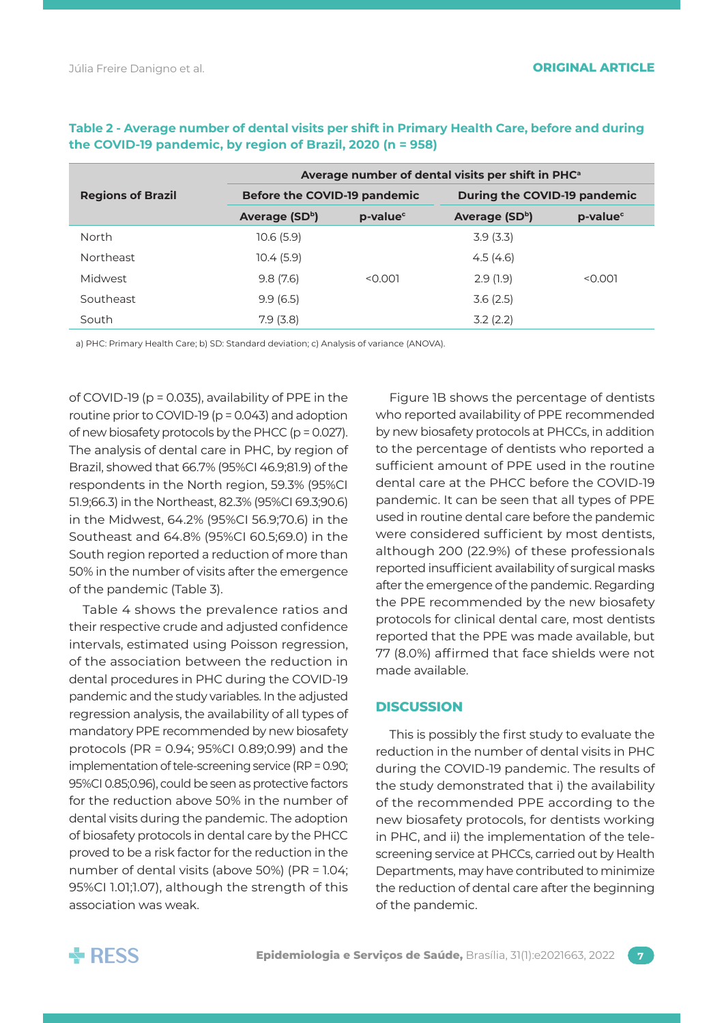|                          | Average number of dental visits per shift in PHC <sup>a</sup> |                      |                              |                      |
|--------------------------|---------------------------------------------------------------|----------------------|------------------------------|----------------------|
| <b>Regions of Brazil</b> | Before the COVID-19 pandemic                                  |                      | During the COVID-19 pandemic |                      |
|                          | Average (SDb)                                                 | p-value <sup>c</sup> | Average (SDb)                | p-value <sup>c</sup> |
| North                    | 10.6(5.9)                                                     |                      | 3.9(3.3)                     |                      |
| <b>Northeast</b>         | 10.4(5.9)                                                     |                      | 4.5(4.6)                     |                      |
| Midwest                  | 9.8(7.6)                                                      | < 0.001              | 2.9(1.9)                     | < 0.001              |
| Southeast                | 9.9(6.5)                                                      |                      | 3.6(2.5)                     |                      |
| South                    | 7.9(3.8)                                                      |                      | 3.2(2.2)                     |                      |

# **Table 2 - Average number of dental visits per shift in Primary Health Care, before and during the COVID-19 pandemic, by region of Brazil, 2020 (n = 958)**

a) PHC: Primary Health Care; b) SD: Standard deviation; c) Analysis of variance (ANOVA).

of COVID-19 (p = 0.035), availability of PPE in the routine prior to COVID-19 (p = 0.043) and adoption of new biosafety protocols by the PHCC (p = 0.027). The analysis of dental care in PHC, by region of Brazil, showed that 66.7% (95%CI 46.9;81.9) of the respondents in the North region, 59.3% (95%CI 51.9;66.3) in the Northeast, 82.3% (95%CI 69.3;90.6) in the Midwest, 64.2% (95%CI 56.9;70.6) in the Southeast and 64.8% (95%CI 60.5;69.0) in the South region reported a reduction of more than 50% in the number of visits after the emergence of the pandemic (Table 3).

Table 4 shows the prevalence ratios and their respective crude and adjusted confidence intervals, estimated using Poisson regression, of the association between the reduction in dental procedures in PHC during the COVID-19 pandemic and the study variables. In the adjusted regression analysis, the availability of all types of mandatory PPE recommended by new biosafety protocols (PR = 0.94; 95%CI 0.89;0.99) and the implementation of tele-screening service (RP = 0.90; 95%CI 0.85;0.96), could be seen as protective factors for the reduction above 50% in the number of dental visits during the pandemic. The adoption of biosafety protocols in dental care by the PHCC proved to be a risk factor for the reduction in the number of dental visits (above 50%) (PR = 1.04; 95%CI 1.01;1.07), although the strength of this association was weak.

Figure 1B shows the percentage of dentists who reported availability of PPE recommended by new biosafety protocols at PHCCs, in addition to the percentage of dentists who reported a sufficient amount of PPE used in the routine dental care at the PHCC before the COVID-19 pandemic. It can be seen that all types of PPE used in routine dental care before the pandemic were considered sufficient by most dentists, although 200 (22.9%) of these professionals reported insufficient availability of surgical masks after the emergence of the pandemic. Regarding the PPE recommended by the new biosafety protocols for clinical dental care, most dentists reported that the PPE was made available, but 77 (8.0%) affirmed that face shields were not made available.

### **DISCUSSION**

This is possibly the first study to evaluate the reduction in the number of dental visits in PHC during the COVID-19 pandemic. The results of the study demonstrated that i) the availability of the recommended PPE according to the new biosafety protocols, for dentists working in PHC, and ii) the implementation of the telescreening service at PHCCs, carried out by Health Departments, may have contributed to minimize the reduction of dental care after the beginning of the pandemic.

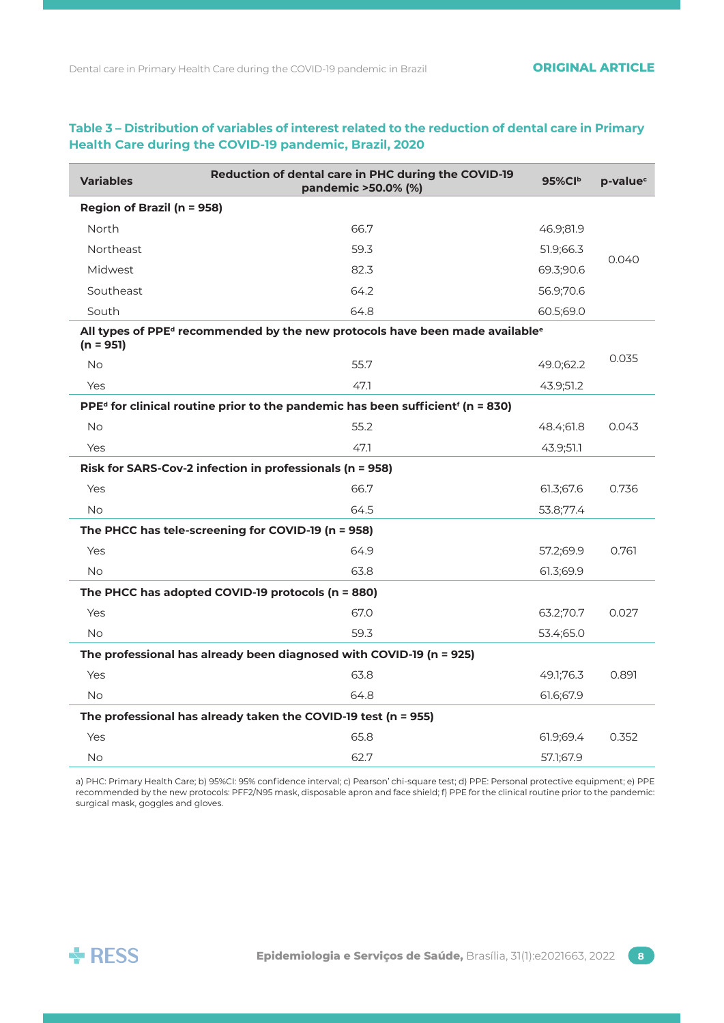| <b>Variables</b>                                  | Reduction of dental care in PHC during the COVID-19<br>pandemic >50.0% (%)                                          | $95\%$ CIb | p-value <sup>c</sup> |  |  |
|---------------------------------------------------|---------------------------------------------------------------------------------------------------------------------|------------|----------------------|--|--|
| Region of Brazil (n = 958)                        |                                                                                                                     |            |                      |  |  |
| North                                             | 66.7                                                                                                                | 46.9;81.9  |                      |  |  |
| <b>Northeast</b>                                  | 59.3                                                                                                                | 51.9;66.3  |                      |  |  |
| Midwest                                           | 82.3                                                                                                                | 69.3;90.6  | 0.040                |  |  |
| Southeast                                         | 64.2                                                                                                                | 56.9;70.6  |                      |  |  |
| South                                             | 64.8                                                                                                                | 60.5;69.0  |                      |  |  |
| $(n = 951)$                                       | All types of PPE <sup>d</sup> recommended by the new protocols have been made available <sup>e</sup>                |            |                      |  |  |
| <b>No</b>                                         | 55.7                                                                                                                | 49.0;62.2  | 0.035                |  |  |
| Yes                                               | 47.1                                                                                                                | 43.9;51.2  |                      |  |  |
|                                                   | PPE <sup>d</sup> for clinical routine prior to the pandemic has been sufficient <sup><math>f</math></sup> (n = 830) |            |                      |  |  |
| <b>No</b>                                         | 55.2                                                                                                                | 48.4;61.8  | 0.043                |  |  |
| <b>Yes</b>                                        | 47.1                                                                                                                | 43.9;51.1  |                      |  |  |
|                                                   | Risk for SARS-Cov-2 infection in professionals (n = 958)                                                            |            |                      |  |  |
| Yes                                               | 66.7                                                                                                                | 61.3;67.6  | 0.736                |  |  |
| <b>No</b>                                         | 64.5                                                                                                                | 53.8;77.4  |                      |  |  |
|                                                   | The PHCC has tele-screening for COVID-19 (n = 958)                                                                  |            |                      |  |  |
| Yes                                               | 64.9                                                                                                                | 57.2;69.9  | 0.761                |  |  |
| <b>No</b>                                         | 63.8                                                                                                                | 61.3;69.9  |                      |  |  |
| The PHCC has adopted COVID-19 protocols (n = 880) |                                                                                                                     |            |                      |  |  |
| Yes                                               | 67.0                                                                                                                | 63.2;70.7  | 0.027                |  |  |
| <b>No</b>                                         | 59.3                                                                                                                | 53.4;65.0  |                      |  |  |
|                                                   | The professional has already been diagnosed with COVID-19 (n = 925)                                                 |            |                      |  |  |
| Yes                                               | 63.8                                                                                                                | 49.1;76.3  | 0.891                |  |  |
| <b>No</b>                                         | 64.8                                                                                                                | 61.6;67.9  |                      |  |  |
|                                                   | The professional has already taken the COVID-19 test (n = 955)                                                      |            |                      |  |  |
| Yes                                               | 65.8                                                                                                                | 61.9;69.4  | 0.352                |  |  |
| <b>No</b>                                         | 62.7                                                                                                                | 57.1;67.9  |                      |  |  |

# **Table 3 – Distribution of variables of interest related to the reduction of dental care in Primary Health Care during the COVID-19 pandemic, Brazil, 2020**

a) PHC: Primary Health Care; b) 95%CI: 95% confidence interval; c) Pearson' chi-square test; d) PPE: Personal protective equipment; e) PPE recommended by the new protocols: PFF2/N95 mask, disposable apron and face shield; f) PPE for the clinical routine prior to the pandemic: surgical mask, goggles and gloves.

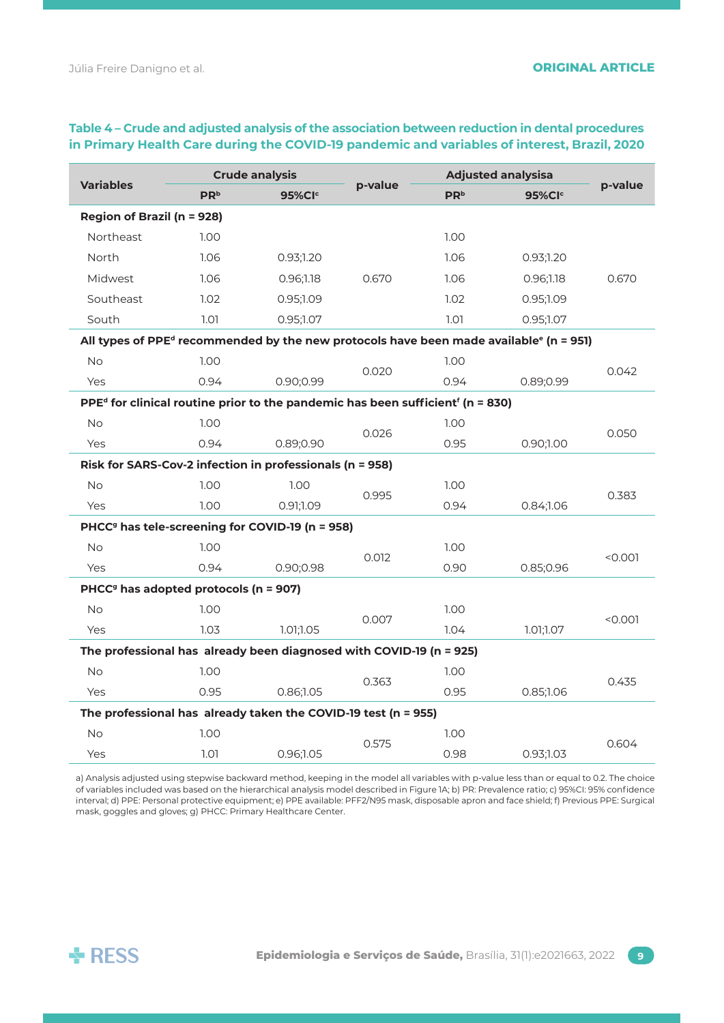| <b>Variables</b><br><b>PR</b> <sup>b</sup>                                                                          |                    | <b>Crude analysis</b> |                 |                    | <b>Adjusted analysisa</b>                                                                                      |         |
|---------------------------------------------------------------------------------------------------------------------|--------------------|-----------------------|-----------------|--------------------|----------------------------------------------------------------------------------------------------------------|---------|
|                                                                                                                     | 95%Cl <sup>c</sup> | p-value               | PR <sup>b</sup> | 95%Cl <sup>c</sup> | p-value                                                                                                        |         |
| <b>Region of Brazil (n = 928)</b>                                                                                   |                    |                       |                 |                    |                                                                                                                |         |
| Northeast                                                                                                           | 1.00 <sub>1</sub>  |                       |                 | 1.00 <sub>1</sub>  |                                                                                                                |         |
| North                                                                                                               | 1.06               | 0.93:1.20             |                 | 1.06               | 0.93;1.20                                                                                                      |         |
| <b>Midwest</b>                                                                                                      | 1.06               | 0.96;1.18             | 0.670           | 1.06               | 0.96;1.18                                                                                                      | 0.670   |
| Southeast                                                                                                           | 1.02               | 0.95;1.09             |                 | 1.02               | 0.95;1.09                                                                                                      |         |
| South                                                                                                               | 1.01               | 0.95;1.07             |                 | 1.01               | 0.95;1.07                                                                                                      |         |
|                                                                                                                     |                    |                       |                 |                    | All types of PPE <sup>d</sup> recommended by the new protocols have been made available <sup>e</sup> (n = 951) |         |
| <b>No</b>                                                                                                           | 1.00               |                       |                 | 1.00               |                                                                                                                |         |
| Yes                                                                                                                 | 0.94               | 0.90;0.99             | 0.020           | 0.94               | 0.89;0.99                                                                                                      | 0.042   |
| PPE <sup>d</sup> for clinical routine prior to the pandemic has been sufficient <sup><math>f</math></sup> (n = 830) |                    |                       |                 |                    |                                                                                                                |         |
| No                                                                                                                  | 1.00               |                       | 0.026           | 1.00               |                                                                                                                | 0.050   |
| Yes                                                                                                                 | 0.94               | 0.89;0.90             |                 | 0.95               | 0.90;1.00                                                                                                      |         |
| Risk for SARS-Cov-2 infection in professionals (n = 958)                                                            |                    |                       |                 |                    |                                                                                                                |         |
| <b>No</b>                                                                                                           | 1.00               | 1.00                  | 0.995           | 1.00 <sub>1</sub>  |                                                                                                                | 0.383   |
| Yes                                                                                                                 | 1.00               | 0.91;1.09             |                 | 0.94               | 0.84;1.06                                                                                                      |         |
| PHCC <sup>9</sup> has tele-screening for COVID-19 (n = 958)                                                         |                    |                       |                 |                    |                                                                                                                |         |
| <b>No</b>                                                                                                           | 1.00               |                       | 0.012           | 1.00               |                                                                                                                | < 0.001 |
| Yes                                                                                                                 | 0.94               | 0.90;0.98             |                 | 0.90               | 0.85;0.96                                                                                                      |         |
| PHCC <sup>9</sup> has adopted protocols (n = 907)                                                                   |                    |                       |                 |                    |                                                                                                                |         |
| <b>No</b>                                                                                                           | 1.00               |                       | 0.007           | 1.00               |                                                                                                                | < 0.001 |
| Yes                                                                                                                 | 1.03               | 1.01;1.05             |                 | 1.04               | 1.01;1.07                                                                                                      |         |
| The professional has already been diagnosed with COVID-19 (n = 925)                                                 |                    |                       |                 |                    |                                                                                                                |         |
| No                                                                                                                  | 1.00               |                       | 0.363           | 1.00               |                                                                                                                | 0.435   |
| Yes                                                                                                                 | 0.95               | 0.86;1.05             |                 | 0.95               | 0.85;1.06                                                                                                      |         |
| The professional has already taken the COVID-19 test (n = 955)                                                      |                    |                       |                 |                    |                                                                                                                |         |
| <b>No</b>                                                                                                           | 1.00               |                       | 0.575           | 1.00 <sub>1</sub>  |                                                                                                                | 0.604   |
| Yes                                                                                                                 | 1.01               | 0.96;1.05             |                 | 0.98               | 0.93;1.03                                                                                                      |         |

# **Table 4 – Crude and adjusted analysis of the association between reduction in dental procedures in Primary Health Care during the COVID-19 pandemic and variables of interest, Brazil, 2020**

a) Analysis adjusted using stepwise backward method, keeping in the model all variables with p-value less than or equal to 0.2. The choice of variables included was based on the hierarchical analysis model described in Figure 1A; b) PR: Prevalence ratio; c) 95%CI: 95% confidence interval; d) PPE: Personal protective equipment; e) PPE available: PFF2/N95 mask, disposable apron and face shield; f) Previous PPE: Surgical mask, goggles and gloves; g) PHCC: Primary Healthcare Center.

![](_page_8_Picture_5.jpeg)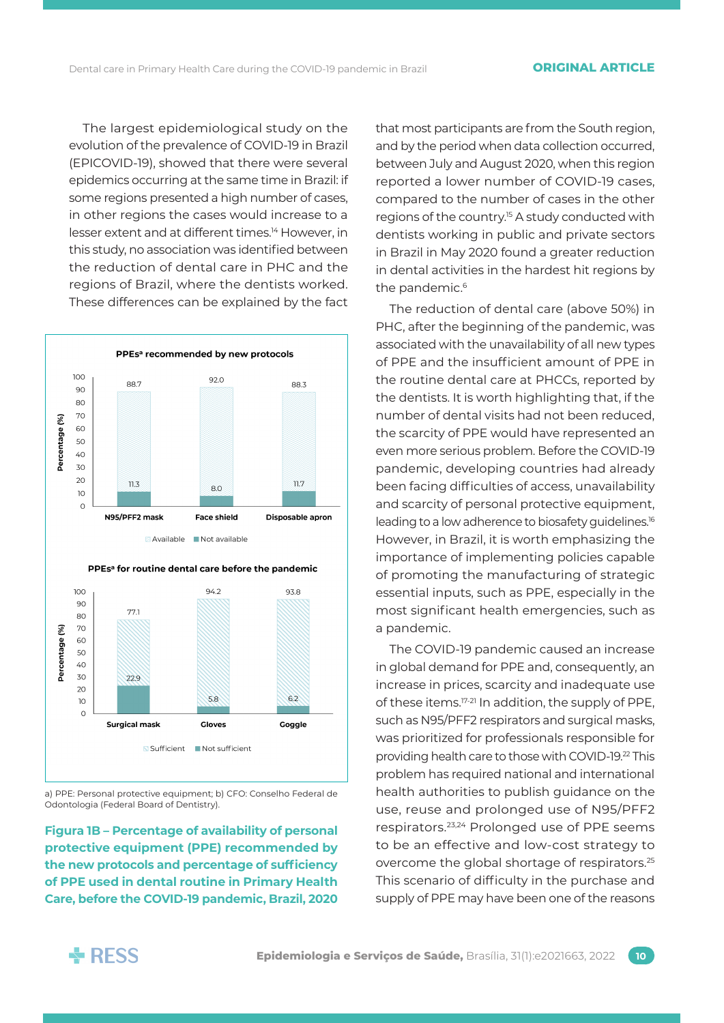The largest epidemiological study on the evolution of the prevalence of COVID-19 in Brazil (EPICOVID-19), showed that there were several epidemics occurring at the same time in Brazil: if some regions presented a high number of cases, in other regions the cases would increase to a lesser extent and at different times.<sup>14</sup> However, in this study, no association was identified between the reduction of dental care in PHC and the regions of Brazil, where the dentists worked. These differences can be explained by the fact

![](_page_9_Figure_3.jpeg)

a) PPE: Personal protective equipment; b) CFO: Conselho Federal de Odontologia (Federal Board of Dentistry).

**Figura 1B – Percentage of availability of personal protective equipment (PPE) recommended by the new protocols and percentage of sufficiency of PPE used in dental routine in Primary Health Care, before the COVID-19 pandemic, Brazil, 2020**

that most participants are from the South region, and by the period when data collection occurred, between July and August 2020, when this region reported a lower number of COVID-19 cases, compared to the number of cases in the other regions of the country.<sup>15</sup> A study conducted with dentists working in public and private sectors in Brazil in May 2020 found a greater reduction in dental activities in the hardest hit regions by the pandemic.<sup>6</sup>

The reduction of dental care (above 50%) in PHC, after the beginning of the pandemic, was associated with the unavailability of all new types of PPE and the insufficient amount of PPE in the routine dental care at PHCCs, reported by the dentists. It is worth highlighting that, if the number of dental visits had not been reduced, the scarcity of PPE would have represented an even more serious problem. Before the COVID-19 pandemic, developing countries had already been facing difficulties of access, unavailability and scarcity of personal protective equipment, leading to a low adherence to biosafety guidelines.16 However, in Brazil, it is worth emphasizing the importance of implementing policies capable of promoting the manufacturing of strategic essential inputs, such as PPE, especially in the most significant health emergencies, such as a pandemic.

The COVID-19 pandemic caused an increase in global demand for PPE and, consequently, an increase in prices, scarcity and inadequate use of these items.17-21 In addition, the supply of PPE, such as N95/PFF2 respirators and surgical masks, was prioritized for professionals responsible for providing health care to those with COVID-19.22 This problem has required national and international health authorities to publish guidance on the use, reuse and prolonged use of N95/PFF2 respirators.23,24 Prolonged use of PPE seems to be an effective and low-cost strategy to overcome the global shortage of respirators.25 This scenario of difficulty in the purchase and supply of PPE may have been one of the reasons

![](_page_9_Picture_9.jpeg)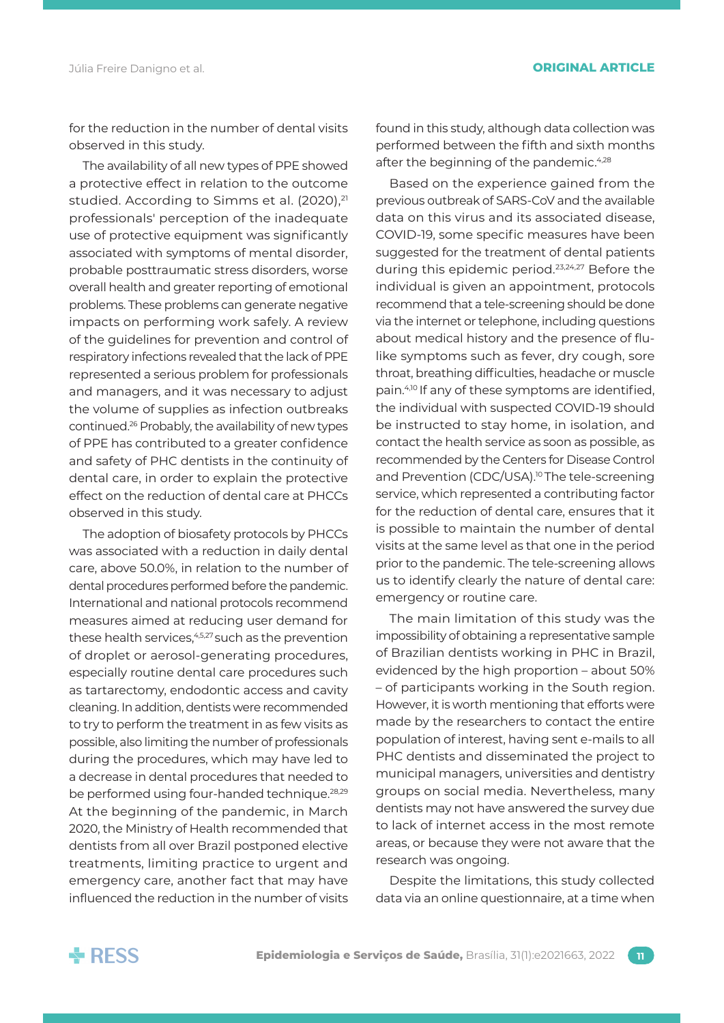for the reduction in the number of dental visits observed in this study.

The availability of all new types of PPE showed a protective effect in relation to the outcome studied. According to Simms et al. (2020).<sup>21</sup> professionals' perception of the inadequate use of protective equipment was significantly associated with symptoms of mental disorder, probable posttraumatic stress disorders, worse overall health and greater reporting of emotional problems. These problems can generate negative impacts on performing work safely. A review of the guidelines for prevention and control of respiratory infections revealed that the lack of PPE represented a serious problem for professionals and managers, and it was necessary to adjust the volume of supplies as infection outbreaks continued.26 Probably, the availability of new types of PPE has contributed to a greater confidence and safety of PHC dentists in the continuity of dental care, in order to explain the protective effect on the reduction of dental care at PHCCs observed in this study.

The adoption of biosafety protocols by PHCCs was associated with a reduction in daily dental care, above 50.0%, in relation to the number of dental procedures performed before the pandemic. International and national protocols recommend measures aimed at reducing user demand for these health services,<sup>4,5,27</sup> such as the prevention of droplet or aerosol-generating procedures, especially routine dental care procedures such as tartarectomy, endodontic access and cavity cleaning. In addition, dentists were recommended to try to perform the treatment in as few visits as possible, also limiting the number of professionals during the procedures, which may have led to a decrease in dental procedures that needed to be performed using four-handed technique.28,29 At the beginning of the pandemic, in March 2020, the Ministry of Health recommended that dentists from all over Brazil postponed elective treatments, limiting practice to urgent and emergency care, another fact that may have influenced the reduction in the number of visits found in this study, although data collection was performed between the fifth and sixth months after the beginning of the pandemic.<sup>4,28</sup>

Based on the experience gained from the previous outbreak of SARS-CoV and the available data on this virus and its associated disease, COVID-19, some specific measures have been suggested for the treatment of dental patients during this epidemic period.<sup>23,24,27</sup> Before the individual is given an appointment, protocols recommend that a tele-screening should be done via the internet or telephone, including questions about medical history and the presence of flulike symptoms such as fever, dry cough, sore throat, breathing difficulties, headache or muscle pain.4,10 If any of these symptoms are identified, the individual with suspected COVID-19 should be instructed to stay home, in isolation, and contact the health service as soon as possible, as recommended by the Centers for Disease Control and Prevention (CDC/USA).<sup>10</sup> The tele-screening service, which represented a contributing factor for the reduction of dental care, ensures that it is possible to maintain the number of dental visits at the same level as that one in the period prior to the pandemic. The tele-screening allows us to identify clearly the nature of dental care: emergency or routine care.

The main limitation of this study was the impossibility of obtaining a representative sample of Brazilian dentists working in PHC in Brazil, evidenced by the high proportion – about 50% – of participants working in the South region. However, it is worth mentioning that efforts were made by the researchers to contact the entire population of interest, having sent e-mails to all PHC dentists and disseminated the project to municipal managers, universities and dentistry groups on social media. Nevertheless, many dentists may not have answered the survey due to lack of internet access in the most remote areas, or because they were not aware that the research was ongoing.

Despite the limitations, this study collected data via an online questionnaire, at a time when

![](_page_10_Picture_9.jpeg)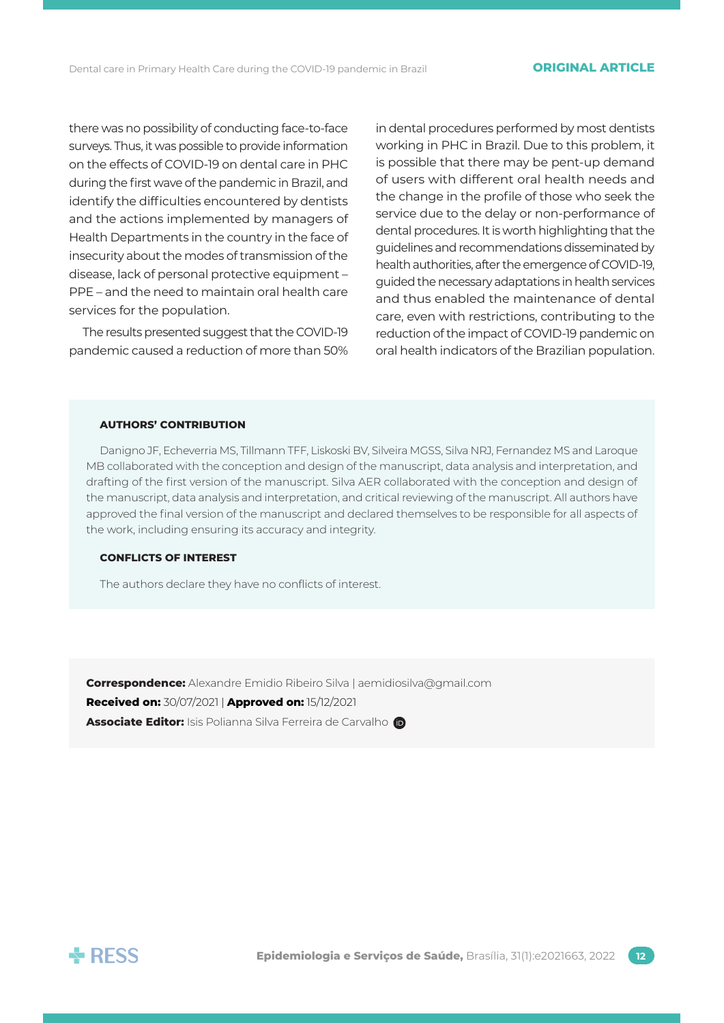there was no possibility of conducting face-to-face surveys. Thus, it was possible to provide information on the effects of COVID-19 on dental care in PHC during the first wave of the pandemic in Brazil, and identify the difficulties encountered by dentists and the actions implemented by managers of Health Departments in the country in the face of insecurity about the modes of transmission of the disease, lack of personal protective equipment – PPE – and the need to maintain oral health care services for the population.

The results presented suggest that the COVID-19 pandemic caused a reduction of more than 50%

in dental procedures performed by most dentists working in PHC in Brazil. Due to this problem, it is possible that there may be pent-up demand of users with different oral health needs and the change in the profile of those who seek the service due to the delay or non-performance of dental procedures. It is worth highlighting that the guidelines and recommendations disseminated by health authorities, after the emergence of COVID-19, guided the necessary adaptations in health services and thus enabled the maintenance of dental care, even with restrictions, contributing to the reduction of the impact of COVID-19 pandemic on oral health indicators of the Brazilian population.

#### **AUTHORS' CONTRIBUTION**

Danigno JF, Echeverria MS, Tillmann TFF, Liskoski BV, Silveira MGSS, Silva NRJ, Fernandez MS and Laroque MB collaborated with the conception and design of the manuscript, data analysis and interpretation, and drafting of the first version of the manuscript. Silva AER collaborated with the conception and design of the manuscript, data analysis and interpretation, and critical reviewing of the manuscript. All authors have approved the final version of the manuscript and declared themselves to be responsible for all aspects of the work, including ensuring its accuracy and integrity.

### **CONFLICTS OF INTEREST**

The authors declare they have no conflicts of interest.

**Correspondence:** Alexandre Emidio Ribeiro Silva | [aemidiosilva@gmail.com](mailto:aemidiosilva@gmail.com) **Received on:** 30/07/2021 | **Approved on:** 15/12/2021 **Associate Editor:** Isis Polianna Silva Ferreira de Carvalho

![](_page_11_Picture_10.jpeg)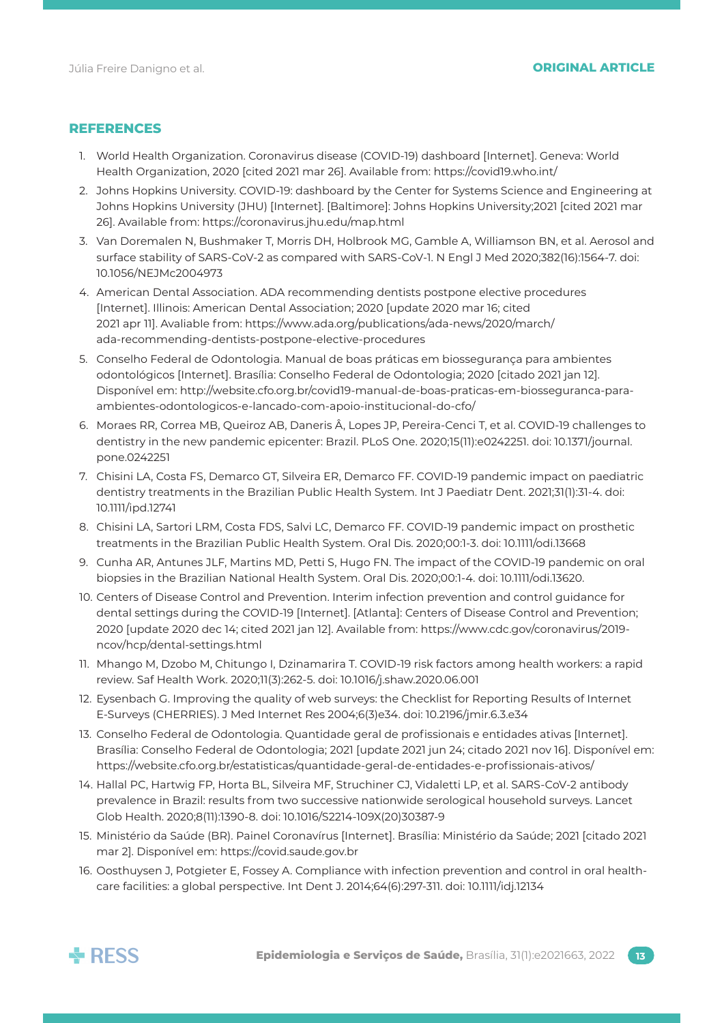# **REFERENCES**

- 1. World Health Organization. Coronavirus disease (COVID-19) dashboard [Internet]. Geneva: World Health Organization, 2020 [cited 2021 mar 26]. Available from: <https://covid19.who.int/>
- 2. Johns Hopkins University. COVID-19: dashboard by the Center for Systems Science and Engineering at Johns Hopkins University (JHU) [Internet]. [Baltimore]: Johns Hopkins University;2021 [cited 2021 mar 26]. Available from: <https://coronavirus.jhu.edu/map.html>
- 3. Van Doremalen N, Bushmaker T, Morris DH, Holbrook MG, Gamble A, Williamson BN, et al. Aerosol and surface stability of SARS-CoV-2 as compared with SARS-CoV-1. N Engl J Med 2020;382(16):1564-7. doi: 10.1056/NEJMc2004973
- 4. American Dental Association. ADA recommending dentists postpone elective procedures [Internet]. Illinois: American Dental Association; 2020 [update 2020 mar 16; cited 2021 apr 11]. Avaliable from: [https://www.ada.org/publications/ada-news/2020/march/](https://www.ada.org/publications/ada-news/2020/march/ada-recommending-dentists-postpone-elective-procedures) [ada-recommending-dentists-postpone-elective-procedures](https://www.ada.org/publications/ada-news/2020/march/ada-recommending-dentists-postpone-elective-procedures)
- 5. Conselho Federal de Odontologia. Manual de boas práticas em biossegurança para ambientes odontológicos [Internet]. Brasília: Conselho Federal de Odontologia; 2020 [citado 2021 jan 12]. Disponível em: [http://website.cfo.org.br/covid19-manual-de-boas-praticas-em-biosseguranca-para](http://website.cfo.org.br/covid19-manual-de-boas-praticas-em-biosseguranca-para-ambientes-odontologicos-e-lancado-com-apoio-institucional-do-cfo/)[ambientes-odontologicos-e-lancado-com-apoio-institucional-do-cfo/](http://website.cfo.org.br/covid19-manual-de-boas-praticas-em-biosseguranca-para-ambientes-odontologicos-e-lancado-com-apoio-institucional-do-cfo/)
- 6. Moraes RR, Correa MB, Queiroz AB, Daneris Â, Lopes JP, Pereira-Cenci T, et al. COVID-19 challenges to dentistry in the new pandemic epicenter: Brazil. PLoS One. 2020;15(11):e0242251. doi: 10.1371/journal. pone.0242251
- 7. Chisini LA, Costa FS, Demarco GT, Silveira ER, Demarco FF. COVID-19 pandemic impact on paediatric dentistry treatments in the Brazilian Public Health System. Int J Paediatr Dent. 2021;31(1):31-4. doi: 10.1111/ipd.12741
- 8. Chisini LA, Sartori LRM, Costa FDS, Salvi LC, Demarco FF. COVID-19 pandemic impact on prosthetic treatments in the Brazilian Public Health System. Oral Dis. 2020;00:1-3. doi: 10.1111/odi.13668
- 9. Cunha AR, Antunes JLF, Martins MD, Petti S, Hugo FN. The impact of the COVID-19 pandemic on oral biopsies in the Brazilian National Health System. Oral Dis. 2020;00:1-4. doi: 10.1111/odi.13620.
- 10. Centers of Disease Control and Prevention. Interim infection prevention and control guidance for dental settings during the COVID-19 [Internet]. [Atlanta]: Centers of Disease Control and Prevention; 2020 [update 2020 dec 14; cited 2021 jan 12]. Available from: [https://www.cdc.gov/coronavirus/2019](https://www.cdc.gov/coronavirus/2019-ncov/hcp/dental-settings.html) [ncov/hcp/dental-settings.html](https://www.cdc.gov/coronavirus/2019-ncov/hcp/dental-settings.html)
- 11. Mhango M, Dzobo M, Chitungo I, Dzinamarira T. COVID-19 risk factors among health workers: a rapid review. Saf Health Work. 2020;11(3):262-5. doi: 10.1016/j.shaw.2020.06.001
- 12. Eysenbach G. Improving the quality of web surveys: the Checklist for Reporting Results of Internet E-Surveys (CHERRIES). J Med Internet Res 2004;6(3)e34. doi: 10.2196/jmir.6.3.e34
- 13. Conselho Federal de Odontologia. Quantidade geral de profissionais e entidades ativas [Internet]. Brasília: Conselho Federal de Odontologia; 2021 [update 2021 jun 24; citado 2021 nov 16]. Disponível em: <https://website.cfo.org.br/estatisticas/quantidade-geral-de-entidades-e-profissionais-ativos/>
- 14. Hallal PC, Hartwig FP, Horta BL, Silveira MF, Struchiner CJ, Vidaletti LP, et al. SARS-CoV-2 antibody prevalence in Brazil: results from two successive nationwide serological household surveys. Lancet Glob Health. 2020;8(11):1390-8. doi: 10.1016/S2214-109X(20)30387-9
- 15. Ministério da Saúde (BR). Painel Coronavírus [Internet]. Brasília: Ministério da Saúde; 2021 [citado 2021 mar 2]. Disponível em:<https://covid.saude.gov.br>
- 16. Oosthuysen J, Potgieter E, Fossey A. Compliance with infection prevention and control in oral healthcare facilities: a global perspective. Int Dent J. 2014;64(6):297-311. doi: 10.1111/idj.12134

![](_page_12_Picture_19.jpeg)